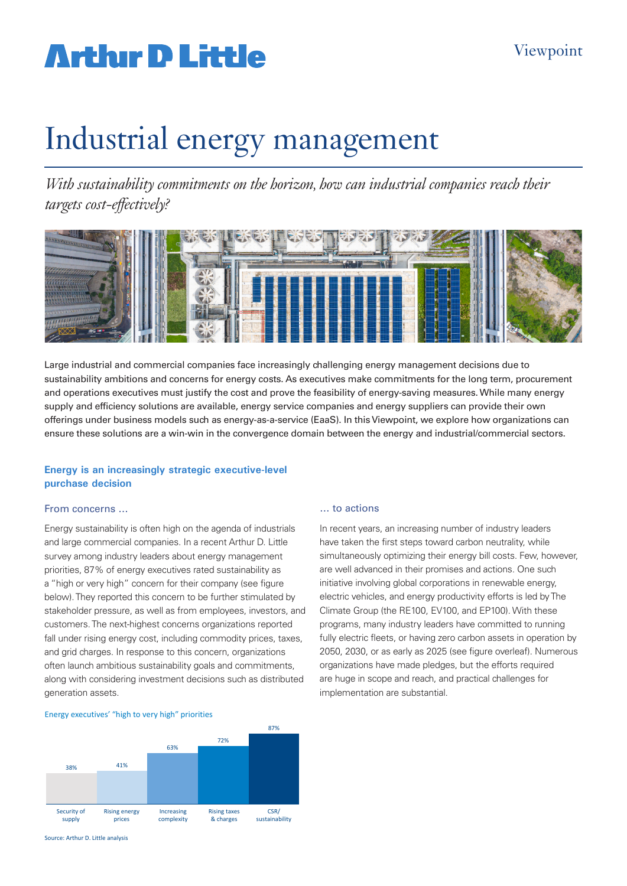# **Arthur D Little**

# Industrial energy management

*With sustainability commitments on the horizon, how can industrial companies reach their targets cost-effectively?* 



Large industrial and commercial companies face increasingly challenging energy management decisions due to sustainability ambitions and concerns for energy costs. As executives make commitments for the long term, procurement and operations executives must justify the cost and prove the feasibility of energy-saving measures. While many energy supply and efficiency solutions are available, energy service companies and energy suppliers can provide their own offerings under business models such as energy-as-a-service (EaaS). In this Viewpoint, we explore how organizations can ensure these solutions are a win-win in the convergence domain between the energy and industrial/commercial sectors.

# **Energy is an increasingly strategic executive-level purchase decision**

### From concerns …

Energy sustainability is often high on the agenda of industrials and large commercial companies. In a recent Arthur D. Little survey among industry leaders about energy management priorities, 87% of energy executives rated sustainability as a "high or very high" concern for their company (see figure below). They reported this concern to be further stimulated by stakeholder pressure, as well as from employees, investors, and customers. The next-highest concerns organizations reported fall under rising energy cost, including commodity prices, taxes, and grid charges. In response to this concern, organizations often launch ambitious sustainability goals and commitments, along with considering investment decisions such as distributed generation assets.

### … to actions

In recent years, an increasing number of industry leaders have taken the first steps toward carbon neutrality, while simultaneously optimizing their energy bill costs. Few, however, are well advanced in their promises and actions. One such initiative involving global corporations in renewable energy, electric vehicles, and energy productivity efforts is led by The Climate Group (the RE100, EV100, and EP100). With these programs, many industry leaders have committed to running fully electric fleets, or having zero carbon assets in operation by 2050, 2030, or as early as 2025 (see figure overleaf). Numerous organizations have made pledges, but the efforts required are huge in scope and reach, and practical challenges for implementation are substantial.





Source: Arthur D. Little analysis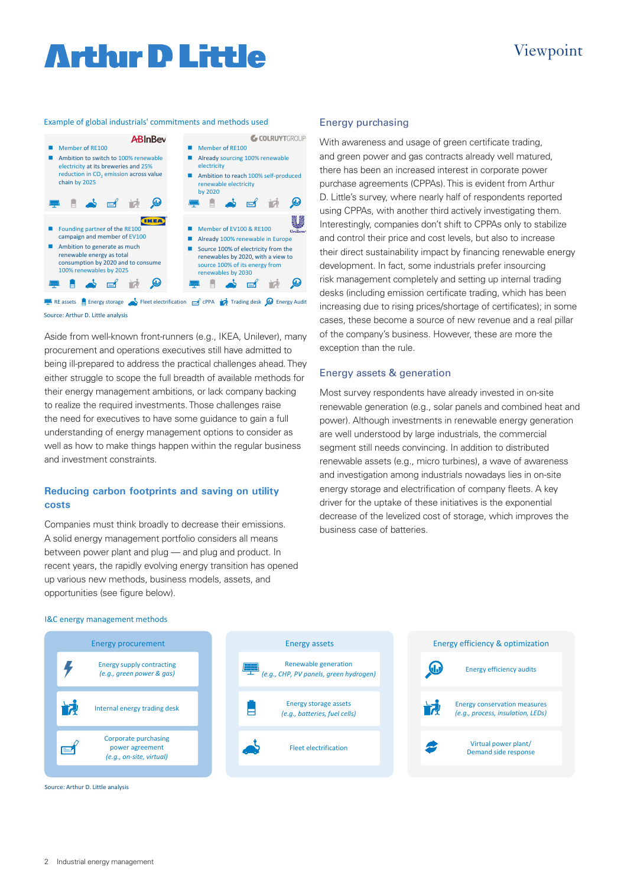# **Arthır D Little**

### Example of global industrials' commitments and methods used



Source: Arthur D. Little analysis RE assets Energy storage **State State Energy State State State Inc.** CPPA Trading desk **C** Energy Audit

Aside from well-known front-runners (e.g., IKEA, Unilever), many procurement and operations executives still have admitted to being ill-prepared to address the practical challenges ahead. They either struggle to scope the full breadth of available methods for their energy management ambitions, or lack company backing to realize the required investments. Those challenges raise the need for executives to have some guidance to gain a full understanding of energy management options to consider as well as how to make things happen within the regular business and investment constraints.

# **Reducing carbon footprints and saving on utility costs**

Companies must think broadly to decrease their emissions. A solid energy management portfolio considers all means between power plant and plug — and plug and product. In recent years, the rapidly evolving energy transition has opened up various new methods, business models, assets, and opportunities (see figure below).

## Energy purchasing

With awareness and usage of green certificate trading, and green power and gas contracts already well matured, there has been an increased interest in corporate power purchase agreements (CPPAs). This is evident from Arthur D. Little's survey, where nearly half of respondents reported using CPPAs, with another third actively investigating them. Interestingly, companies don't shift to CPPAs only to stabilize and control their price and cost levels, but also to increase their direct sustainability impact by financing renewable energy development. In fact, some industrials prefer insourcing risk management completely and setting up internal trading desks (including emission certificate trading, which has been increasing due to rising prices/shortage of certificates); in some cases, these become a source of new revenue and a real pillar of the company's business. However, these are more the exception than the rule.

Viewpoint

### Energy assets & generation

Most survey respondents have already invested in on-site renewable generation (e.g., solar panels and combined heat and power). Although investments in renewable energy generation are well understood by large industrials, the commercial segment still needs convincing. In addition to distributed renewable assets (e.g., micro turbines), a wave of awareness and investigation among industrials nowadays lies in on-site energy storage and electrification of company fleets. A key driver for the uptake of these initiatives is the exponential decrease of the levelized cost of storage, which improves the business case of batteries.

#### I&C energy management methods

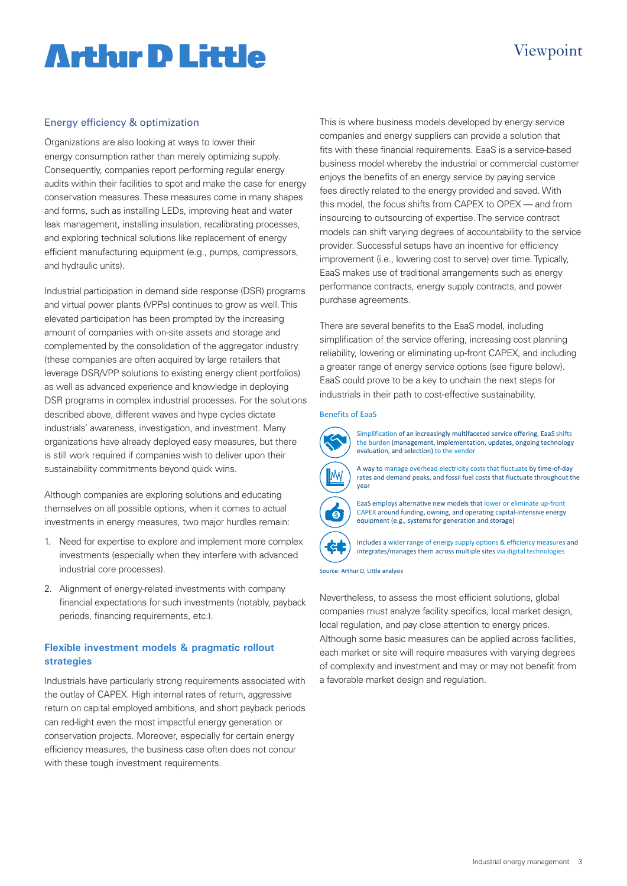# **Arthur D Little**

# Viewpoint

# Energy efficiency & optimization

Organizations are also looking at ways to lower their energy consumption rather than merely optimizing supply. Consequently, companies report performing regular energy audits within their facilities to spot and make the case for energy conservation measures. These measures come in many shapes and forms, such as installing LEDs, improving heat and water leak management, installing insulation, recalibrating processes, and exploring technical solutions like replacement of energy efficient manufacturing equipment (e.g., pumps, compressors, and hydraulic units).

Industrial participation in demand side response (DSR) programs and virtual power plants (VPPs) continues to grow as well. This elevated participation has been prompted by the increasing amount of companies with on-site assets and storage and complemented by the consolidation of the aggregator industry (these companies are often acquired by large retailers that leverage DSR/VPP solutions to existing energy client portfolios) as well as advanced experience and knowledge in deploying DSR programs in complex industrial processes. For the solutions described above, different waves and hype cycles dictate industrials' awareness, investigation, and investment. Many organizations have already deployed easy measures, but there is still work required if companies wish to deliver upon their sustainability commitments beyond quick wins.

Although companies are exploring solutions and educating themselves on all possible options, when it comes to actual investments in energy measures, two major hurdles remain:

- 1. Need for expertise to explore and implement more complex investments (especially when they interfere with advanced industrial core processes).
- 2. Alignment of energy-related investments with company financial expectations for such investments (notably, payback periods, financing requirements, etc.).

# **Flexible investment models & pragmatic rollout strategies**

Industrials have particularly strong requirements associated with the outlay of CAPEX. High internal rates of return, aggressive return on capital employed ambitions, and short payback periods can red-light even the most impactful energy generation or conservation projects. Moreover, especially for certain energy efficiency measures, the business case often does not concur with these tough investment requirements.

This is where business models developed by energy service companies and energy suppliers can provide a solution that fits with these financial requirements. EaaS is a service-based business model whereby the industrial or commercial customer enjoys the benefits of an energy service by paying service fees directly related to the energy provided and saved. With this model, the focus shifts from CAPEX to OPEX — and from insourcing to outsourcing of expertise. The service contract models can shift varying degrees of accountability to the service provider. Successful setups have an incentive for efficiency improvement (i.e., lowering cost to serve) over time. Typically, EaaS makes use of traditional arrangements such as energy performance contracts, energy supply contracts, and power purchase agreements.

There are several benefits to the EaaS model, including simplification of the service offering, increasing cost planning reliability, lowering or eliminating up-front CAPEX, and including a greater range of energy service options (see figure below). EaaS could prove to be a key to unchain the next steps for industrials in their path to cost-effective sustainability.

### Benefits of EaaS



Simplification of an increasingly multifaceted service offering, EaaS shifts the burden (management, implementation, updates, ongoing technology evaluation, and selection) to the vendor



A way to manage overhead electricity costs that fluctuate by time-of-day rates and demand peaks, and fossil fuel costs that fluctuate throughout the



EaaS employs alternative new models that lower or eliminate up-front CAPEX around funding, owning, and operating capital-intensive energy equipment (e.g., systems for generation and storage)



Includes a wider range of energy supply options & efficiency measures and integrates/manages them across multiple sites via digital technologies

Source: Arthur D. Little analysis

Nevertheless, to assess the most efficient solutions, global companies must analyze facility specifics, local market design, local regulation, and pay close attention to energy prices. Although some basic measures can be applied across facilities, each market or site will require measures with varying degrees of complexity and investment and may or may not benefit from a favorable market design and regulation.